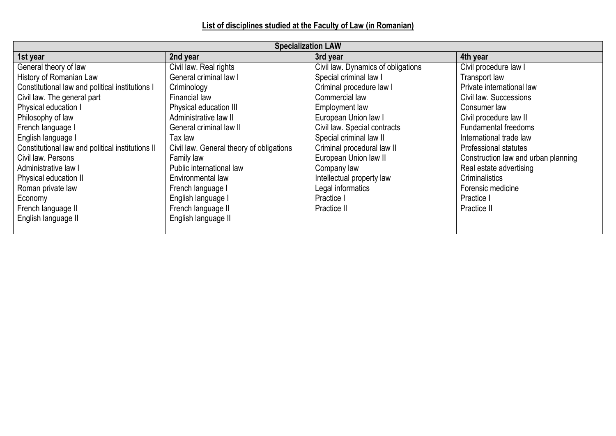**List of disciplines studied at the Faculty of Law (in Romanian)**

| <b>Specialization LAW</b>                        |                                          |                                    |                                     |  |
|--------------------------------------------------|------------------------------------------|------------------------------------|-------------------------------------|--|
| 1st year                                         | 2nd year                                 | 3rd year                           | 4th year                            |  |
| General theory of law                            | Civil law. Real rights                   | Civil law. Dynamics of obligations | Civil procedure law I               |  |
| History of Romanian Law                          | General criminal law I                   | Special criminal law I             | Transport law                       |  |
| Constitutional law and political institutions I  | Criminology                              | Criminal procedure law I           | Private international law           |  |
| Civil law. The general part                      | <b>Financial law</b>                     | Commercial law                     | Civil law. Successions              |  |
| Physical education I                             | Physical education III                   | Employment law                     | Consumer law                        |  |
| Philosophy of law                                | Administrative law II                    | European Union law I               | Civil procedure law II              |  |
| French language I                                | General criminal law II                  | Civil law. Special contracts       | <b>Fundamental freedoms</b>         |  |
| English language I                               | Tax law                                  | Special criminal law II            | International trade law             |  |
| Constitutional law and political institutions II | Civil law. General theory of obligations | Criminal procedural law II         | <b>Professional statutes</b>        |  |
| Civil law. Persons                               | Family law                               | European Union law II              | Construction law and urban planning |  |
| Administrative law I                             | Public international law                 | Company law                        | Real estate advertising             |  |
| Physical education II                            | Environmental law                        | Intellectual property law          | Criminalistics                      |  |
| Roman private law                                | French language I                        | Legal informatics                  | Forensic medicine                   |  |
| Economy                                          | English language I                       | Practice I                         | Practice I                          |  |
| French language II                               | French language II                       | Practice II                        | Practice II                         |  |
| English language II                              | English language II                      |                                    |                                     |  |
|                                                  |                                          |                                    |                                     |  |